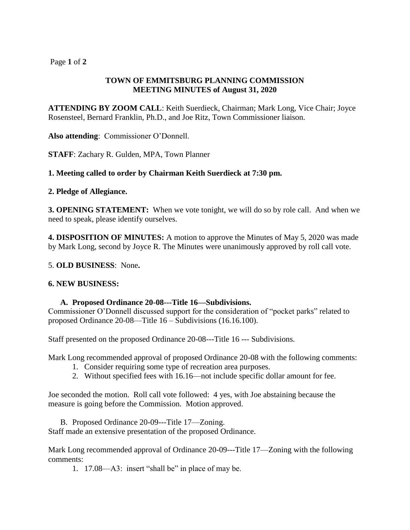# Page **1** of **2**

## **TOWN OF EMMITSBURG PLANNING COMMISSION MEETING MINUTES of August 31, 2020**

**ATTENDING BY ZOOM CALL**: Keith Suerdieck, Chairman; Mark Long, Vice Chair; Joyce Rosensteel, Bernard Franklin, Ph.D., and Joe Ritz, Town Commissioner liaison.

**Also attending**: Commissioner O'Donnell.

**STAFF**: Zachary R. Gulden, MPA, Town Planner

## **1. Meeting called to order by Chairman Keith Suerdieck at 7:30 pm.**

#### **2. Pledge of Allegiance.**

**3. OPENING STATEMENT:** When we vote tonight, we will do so by role call. And when we need to speak, please identify ourselves.

**4. DISPOSITION OF MINUTES:** A motion to approve the Minutes of May 5, 2020 was made by Mark Long, second by Joyce R. The Minutes were unanimously approved by roll call vote.

#### 5. **OLD BUSINESS**: None**.**

#### **6. NEW BUSINESS:**

#### **A. Proposed Ordinance 20-08---Title 16—Subdivisions.**

Commissioner O'Donnell discussed support for the consideration of "pocket parks" related to proposed Ordinance 20-08—Title 16 – Subdivisions (16.16.100).

Staff presented on the proposed Ordinance 20-08---Title 16 --- Subdivisions.

Mark Long recommended approval of proposed Ordinance 20-08 with the following comments:

- 1. Consider requiring some type of recreation area purposes.
- 2. Without specified fees with 16.16—not include specific dollar amount for fee.

Joe seconded the motion. Roll call vote followed: 4 yes, with Joe abstaining because the measure is going before the Commission. Motion approved.

B. Proposed Ordinance 20-09---Title 17—Zoning. Staff made an extensive presentation of the proposed Ordinance.

Mark Long recommended approval of Ordinance 20-09---Title 17—Zoning with the following comments:

1. 17.08—A3: insert "shall be" in place of may be.